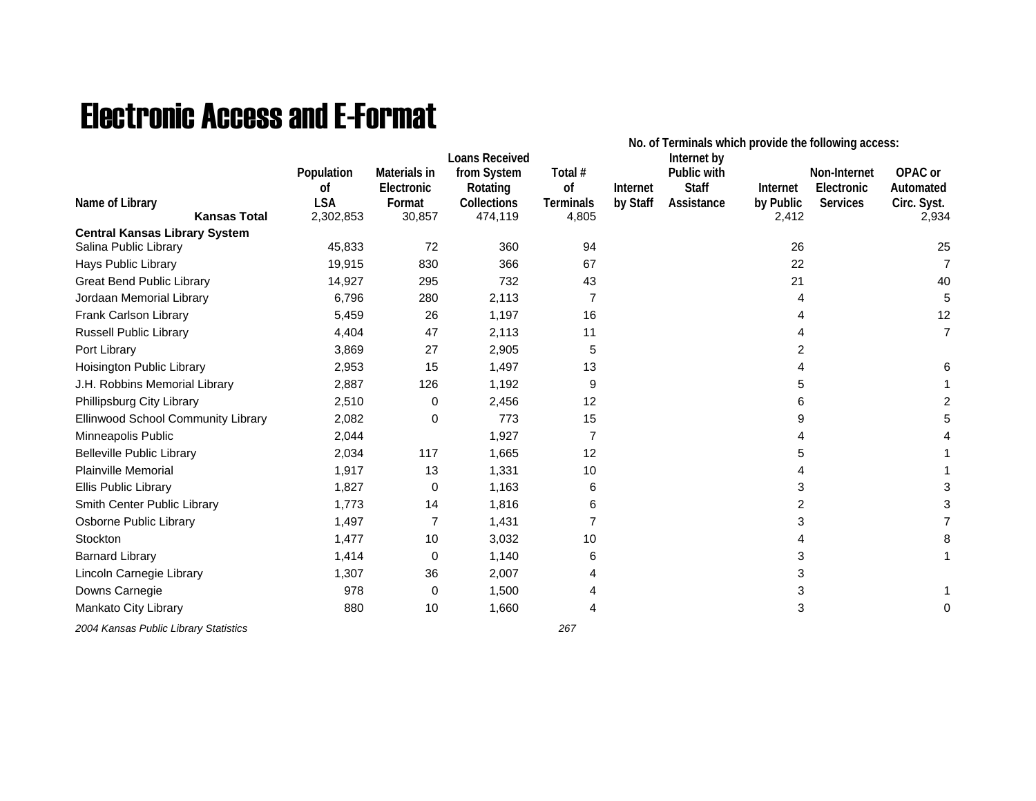## Electronic Access and E-Format

|                                                               |            |                | <b>Loans Received</b> |                  | No. of Terminals which provide the following access:<br>Internet by |              |           |                 |                |  |
|---------------------------------------------------------------|------------|----------------|-----------------------|------------------|---------------------------------------------------------------------|--------------|-----------|-----------------|----------------|--|
|                                                               | Population | Materials in   | from System           | Total #          |                                                                     | Public with  |           | Non-Internet    | OPAC or        |  |
|                                                               | οf         | Electronic     | Rotating              | of               | Internet                                                            | <b>Staff</b> | Internet  | Electronic      | Automated      |  |
| Name of Library                                               | <b>LSA</b> | Format         | <b>Collections</b>    | <b>Terminals</b> | by Staff                                                            | Assistance   | by Public | <b>Services</b> | Circ. Syst.    |  |
| <b>Kansas Total</b>                                           | 2,302,853  | 30,857         | 474,119               | 4,805            |                                                                     |              | 2,412     |                 | 2,934          |  |
| <b>Central Kansas Library System</b><br>Salina Public Library | 45,833     | 72             | 360                   | 94               |                                                                     |              | 26        |                 | 25             |  |
| Hays Public Library                                           | 19,915     | 830            | 366                   | 67               |                                                                     |              | 22        |                 | $\overline{7}$ |  |
| <b>Great Bend Public Library</b>                              | 14,927     | 295            | 732                   | 43               |                                                                     |              | 21        |                 | 40             |  |
| Jordaan Memorial Library                                      | 6,796      | 280            | 2,113                 | 7                |                                                                     |              | 4         |                 | 5              |  |
| Frank Carlson Library                                         | 5,459      | 26             | 1,197                 | 16               |                                                                     |              |           |                 | 12             |  |
| Russell Public Library                                        | 4,404      | 47             | 2,113                 | 11               |                                                                     |              |           |                 | $\overline{7}$ |  |
| Port Library                                                  | 3,869      | 27             | 2,905                 | 5                |                                                                     |              | 2         |                 |                |  |
| Hoisington Public Library                                     | 2,953      | 15             | 1,497                 | 13               |                                                                     |              |           |                 |                |  |
| J.H. Robbins Memorial Library                                 | 2,887      | 126            | 1,192                 | 9                |                                                                     |              | 5         |                 |                |  |
| Phillipsburg City Library                                     | 2,510      | 0              | 2,456                 | 12               |                                                                     |              | 6         |                 |                |  |
| Ellinwood School Community Library                            | 2,082      | 0              | 773                   | 15               |                                                                     |              | 9         |                 |                |  |
| Minneapolis Public                                            | 2,044      |                | 1,927                 | 7                |                                                                     |              |           |                 |                |  |
| <b>Belleville Public Library</b>                              | 2,034      | 117            | 1,665                 | 12               |                                                                     |              |           |                 |                |  |
| <b>Plainville Memorial</b>                                    | 1,917      | 13             | 1,331                 | 10               |                                                                     |              |           |                 |                |  |
| Ellis Public Library                                          | 1,827      | 0              | 1,163                 | 6                |                                                                     |              | 3         |                 |                |  |
| Smith Center Public Library                                   | 1,773      | 14             | 1,816                 | 6                |                                                                     |              | 2         |                 |                |  |
| Osborne Public Library                                        | 1,497      | $\overline{7}$ | 1,431                 | $\overline{7}$   |                                                                     |              | 3         |                 |                |  |
| Stockton                                                      | 1,477      | 10             | 3,032                 | 10               |                                                                     |              |           |                 |                |  |
| <b>Barnard Library</b>                                        | 1,414      | 0              | 1,140                 | 6                |                                                                     |              | 3         |                 |                |  |
| Lincoln Carnegie Library                                      | 1,307      | 36             | 2,007                 | 4                |                                                                     |              | 3         |                 |                |  |
| Downs Carnegie                                                | 978        | 0              | 1,500                 |                  |                                                                     |              | 3         |                 |                |  |
| Mankato City Library                                          | 880        | 10             | 1,660                 | 4                |                                                                     |              | 3         |                 | 0              |  |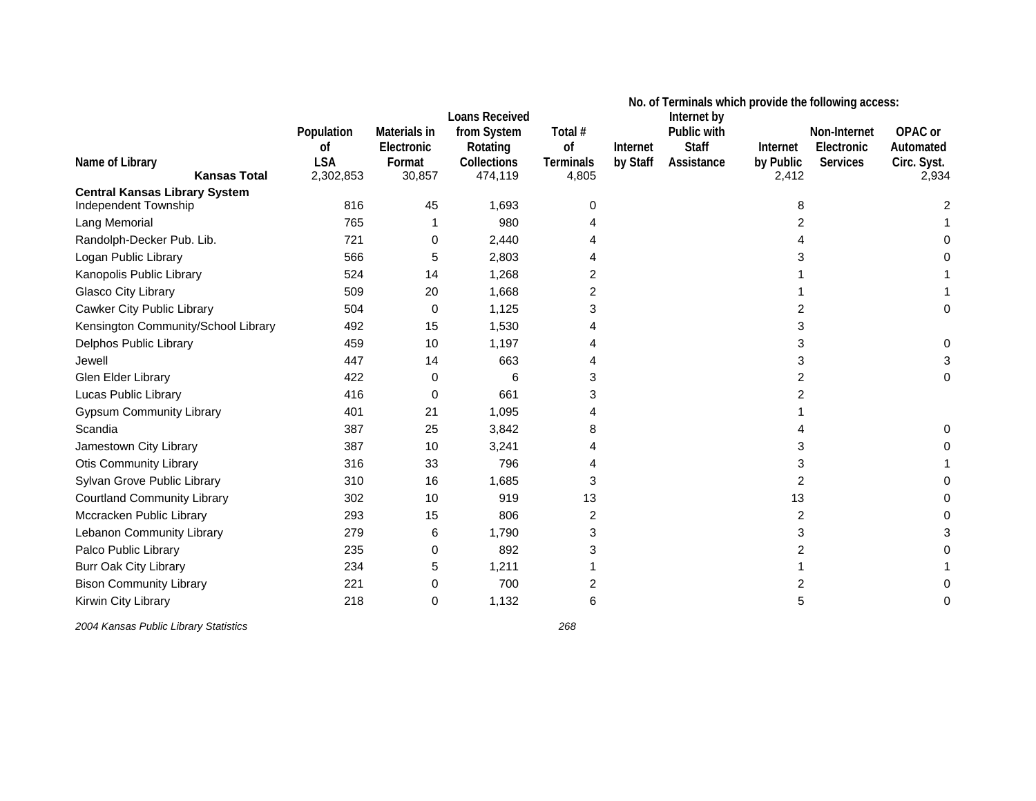|                                      |            |              |                                      | No. of Terminals which provide the following access:<br>Internet by |          |              |           |              |             |
|--------------------------------------|------------|--------------|--------------------------------------|---------------------------------------------------------------------|----------|--------------|-----------|--------------|-------------|
|                                      | Population | Materials in | <b>Loans Received</b><br>from System | Total #                                                             |          | Public with  |           | Non-Internet | OPAC or     |
|                                      | 0f         | Electronic   | Rotating                             | of                                                                  | Internet | <b>Staff</b> | Internet  | Electronic   | Automated   |
| Name of Library                      | <b>LSA</b> | Format       | <b>Collections</b>                   | <b>Terminals</b>                                                    | by Staff | Assistance   | by Public | Services     | Circ. Syst. |
| <b>Kansas Total</b>                  | 2,302,853  | 30,857       | 474,119                              | 4,805                                                               |          |              | 2,412     |              | 2,934       |
| <b>Central Kansas Library System</b> |            |              |                                      |                                                                     |          |              |           |              |             |
| Independent Township                 | 816        | 45           | 1,693                                | 0                                                                   |          |              | 8         |              | 2           |
| Lang Memorial                        | 765        |              | 980                                  |                                                                     |          |              | 2         |              |             |
| Randolph-Decker Pub. Lib.            | 721        | 0            | 2,440                                |                                                                     |          |              | 4         |              |             |
| Logan Public Library                 | 566        | 5            | 2,803                                |                                                                     |          |              | 3         |              |             |
| Kanopolis Public Library             | 524        | 14           | 1,268                                | 2                                                                   |          |              |           |              |             |
| Glasco City Library                  | 509        | 20           | 1,668                                | 2                                                                   |          |              |           |              |             |
| Cawker City Public Library           | 504        | 0            | 1,125                                | 3                                                                   |          |              | 2         |              |             |
| Kensington Community/School Library  | 492        | 15           | 1,530                                |                                                                     |          |              | 3         |              |             |
| Delphos Public Library               | 459        | 10           | 1,197                                | 4                                                                   |          |              | 3         |              |             |
| Jewell                               | 447        | 14           | 663                                  | 4                                                                   |          |              | 3         |              |             |
| Glen Elder Library                   | 422        | 0            | 6                                    | 3                                                                   |          |              | 2         |              |             |
| Lucas Public Library                 | 416        | 0            | 661                                  | 3                                                                   |          |              | 2         |              |             |
| <b>Gypsum Community Library</b>      | 401        | 21           | 1,095                                |                                                                     |          |              |           |              |             |
| Scandia                              | 387        | 25           | 3,842                                | 8                                                                   |          |              |           |              |             |
| Jamestown City Library               | 387        | 10           | 3,241                                | 4                                                                   |          |              | 3         |              |             |
| <b>Otis Community Library</b>        | 316        | 33           | 796                                  | 4                                                                   |          |              | 3         |              |             |
| Sylvan Grove Public Library          | 310        | 16           | 1,685                                | 3                                                                   |          |              | 2         |              |             |
| <b>Courtland Community Library</b>   | 302        | 10           | 919                                  | 13                                                                  |          |              | 13        |              |             |
| Mccracken Public Library             | 293        | 15           | 806                                  | 2                                                                   |          |              | 2         |              |             |
| Lebanon Community Library            | 279        | 6            | 1,790                                | 3                                                                   |          |              | 3         |              |             |
| Palco Public Library                 | 235        | 0            | 892                                  | 3                                                                   |          |              | 2         |              |             |
| Burr Oak City Library                | 234        | 5            | 1,211                                |                                                                     |          |              |           |              |             |
| <b>Bison Community Library</b>       | 221        | 0            | 700                                  | 2                                                                   |          |              | 2         |              |             |
| Kirwin City Library                  | 218        | 0            | 1,132                                | 6                                                                   |          |              | 5         |              |             |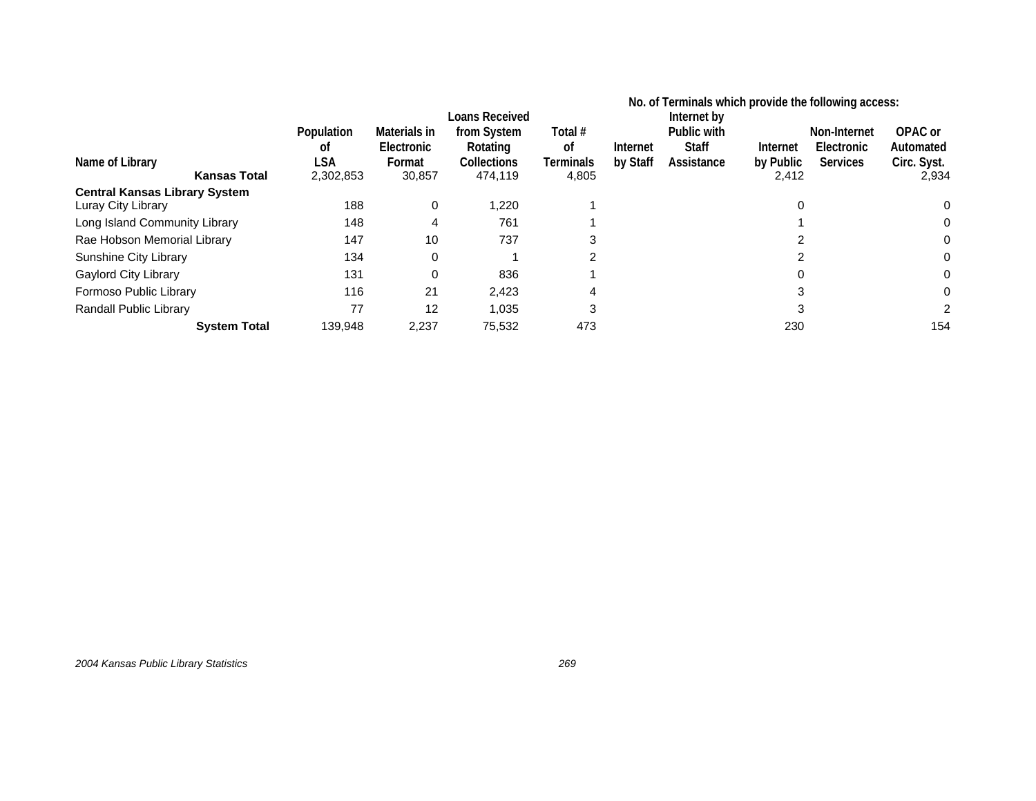|                                      |                         |                                      | Loans Received                         |                            | No. of Terminals which provide the following access:<br>Internet by |                                           |                       |                                               |                                     |
|--------------------------------------|-------------------------|--------------------------------------|----------------------------------------|----------------------------|---------------------------------------------------------------------|-------------------------------------------|-----------------------|-----------------------------------------------|-------------------------------------|
| Name of Library                      | Population<br>οt<br>LSA | Materials in<br>Electronic<br>Format | from System<br>Rotating<br>Collections | Total #<br>0f<br>Terminals | Internet<br>by Staff                                                | Public with<br><b>Staff</b><br>Assistance | Internet<br>by Public | Non-Internet<br>Electronic<br><b>Services</b> | OPAC or<br>Automated<br>Circ. Syst. |
| <b>Kansas Total</b>                  | 2,302,853               | 30,857                               | 474,119                                | 4,805                      |                                                                     |                                           | 2,412                 |                                               | 2,934                               |
| <b>Central Kansas Library System</b> |                         |                                      |                                        |                            |                                                                     |                                           |                       |                                               |                                     |
| Luray City Library                   | 188                     | 0                                    | 1,220                                  |                            |                                                                     |                                           |                       |                                               |                                     |
| Long Island Community Library        | 148                     | 4                                    | 761                                    |                            |                                                                     |                                           |                       |                                               |                                     |
| Rae Hobson Memorial Library          | 147                     | 10                                   | 737                                    | 3                          |                                                                     |                                           |                       |                                               |                                     |
| Sunshine City Library                | 134                     | 0                                    |                                        | 2                          |                                                                     |                                           |                       |                                               |                                     |
| <b>Gaylord City Library</b>          | 131                     | $\Omega$                             | 836                                    |                            |                                                                     |                                           |                       |                                               |                                     |
| Formoso Public Library               | 116                     | 21                                   | 2,423                                  |                            |                                                                     |                                           | 3                     |                                               |                                     |
| Randall Public Library               | 77                      | 12                                   | 1,035                                  | 3                          |                                                                     |                                           | 3                     |                                               |                                     |
| <b>System Total</b>                  | 139,948                 | 2,237                                | 75,532                                 | 473                        |                                                                     |                                           | 230                   |                                               | 154                                 |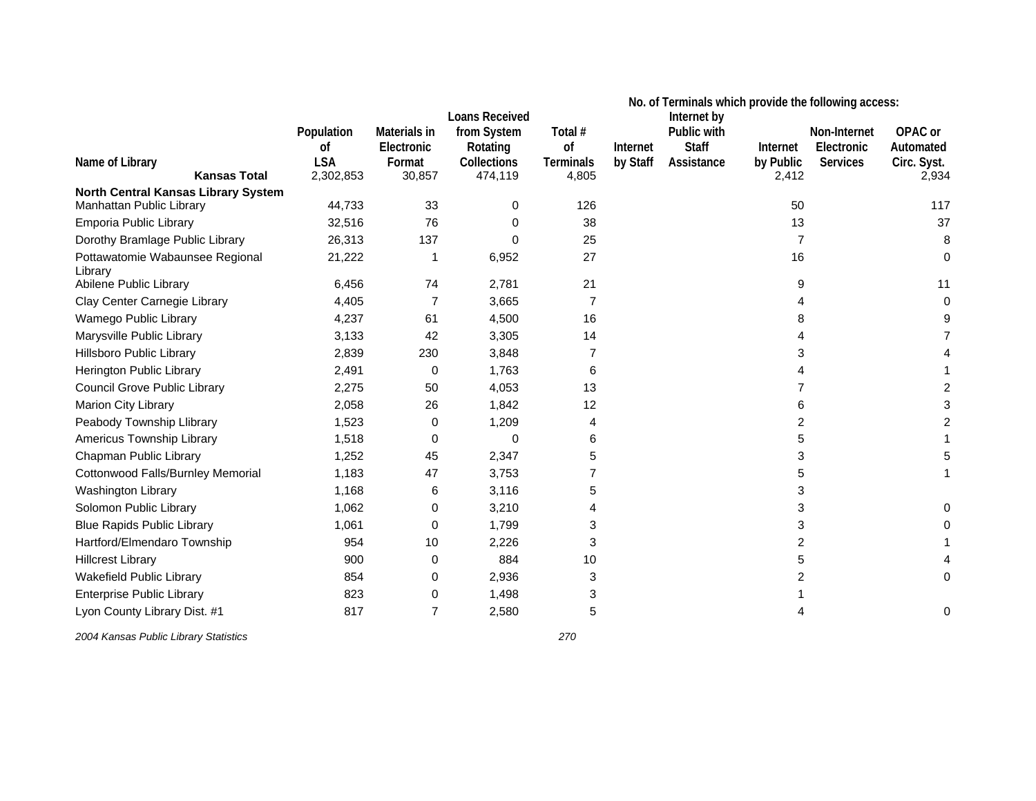|                                                                        |            |              | <b>Loans Received</b> | No. of Terminals which provide the following access:<br>Internet by |          |              |                |              |             |
|------------------------------------------------------------------------|------------|--------------|-----------------------|---------------------------------------------------------------------|----------|--------------|----------------|--------------|-------------|
|                                                                        | Population | Materials in | from System           | Total #                                                             |          | Public with  |                | Non-Internet | OPAC or     |
|                                                                        | οf         | Electronic   | Rotating              | of                                                                  | Internet | <b>Staff</b> | Internet       | Electronic   | Automated   |
| Name of Library                                                        | <b>LSA</b> | Format       | Collections           | <b>Terminals</b>                                                    | by Staff | Assistance   | by Public      | Services     | Circ. Syst. |
| <b>Kansas Total</b>                                                    | 2,302,853  | 30,857       | 474,119               | 4,805                                                               |          |              | 2,412          |              | 2,934       |
| <b>North Central Kansas Library System</b><br>Manhattan Public Library | 44,733     | 33           | 0                     | 126                                                                 |          |              | 50             |              | 117         |
| Emporia Public Library                                                 | 32,516     | 76           | 0                     | 38                                                                  |          |              | 13             |              | 37          |
| Dorothy Bramlage Public Library                                        | 26,313     | 137          | $\Omega$              | 25                                                                  |          |              | $\overline{7}$ |              | 8           |
| Pottawatomie Wabaunsee Regional<br>Library                             | 21,222     |              | 6,952                 | 27                                                                  |          |              | 16             |              | 0           |
| Abilene Public Library                                                 | 6,456      | 74           | 2,781                 | 21                                                                  |          |              | 9              |              | 11          |
| Clay Center Carnegie Library                                           | 4,405      | 7            | 3,665                 | 7                                                                   |          |              | 4              |              | 0           |
| Wamego Public Library                                                  | 4,237      | 61           | 4,500                 | 16                                                                  |          |              | 8              |              |             |
| Marysville Public Library                                              | 3,133      | 42           | 3,305                 | 14                                                                  |          |              | 4              |              |             |
| Hillsboro Public Library                                               | 2,839      | 230          | 3,848                 | 7                                                                   |          |              | 3              |              |             |
| Herington Public Library                                               | 2,491      | 0            | 1,763                 | 6                                                                   |          |              | 4              |              |             |
| Council Grove Public Library                                           | 2,275      | 50           | 4,053                 | 13                                                                  |          |              | 7              |              |             |
| Marion City Library                                                    | 2,058      | 26           | 1,842                 | 12                                                                  |          |              | 6              |              |             |
| Peabody Township Llibrary                                              | 1,523      | 0            | 1,209                 | 4                                                                   |          |              | 2              |              |             |
| Americus Township Library                                              | 1,518      | 0            | 0                     | 6                                                                   |          |              | 5              |              |             |
| Chapman Public Library                                                 | 1,252      | 45           | 2,347                 | 5                                                                   |          |              | 3              |              |             |
| Cottonwood Falls/Burnley Memorial                                      | 1,183      | 47           | 3,753                 | 7                                                                   |          |              | 5              |              |             |
| Washington Library                                                     | 1,168      | 6            | 3,116                 | 5                                                                   |          |              | 3              |              |             |
| Solomon Public Library                                                 | 1,062      | 0            | 3,210                 | 4                                                                   |          |              | 3              |              |             |
| <b>Blue Rapids Public Library</b>                                      | 1,061      | 0            | 1,799                 | 3                                                                   |          |              | 3              |              |             |
| Hartford/Elmendaro Township                                            | 954        | 10           | 2,226                 | 3                                                                   |          |              | 2              |              |             |
| <b>Hillcrest Library</b>                                               | 900        | 0            | 884                   | 10                                                                  |          |              | 5              |              |             |
| Wakefield Public Library                                               | 854        | 0            | 2,936                 | 3                                                                   |          |              | 2              |              |             |
| <b>Enterprise Public Library</b>                                       | 823        | 0            | 1,498                 | 3                                                                   |          |              |                |              |             |
| Lyon County Library Dist. #1                                           | 817        | 7            | 2,580                 | 5                                                                   |          |              | 4              |              | 0           |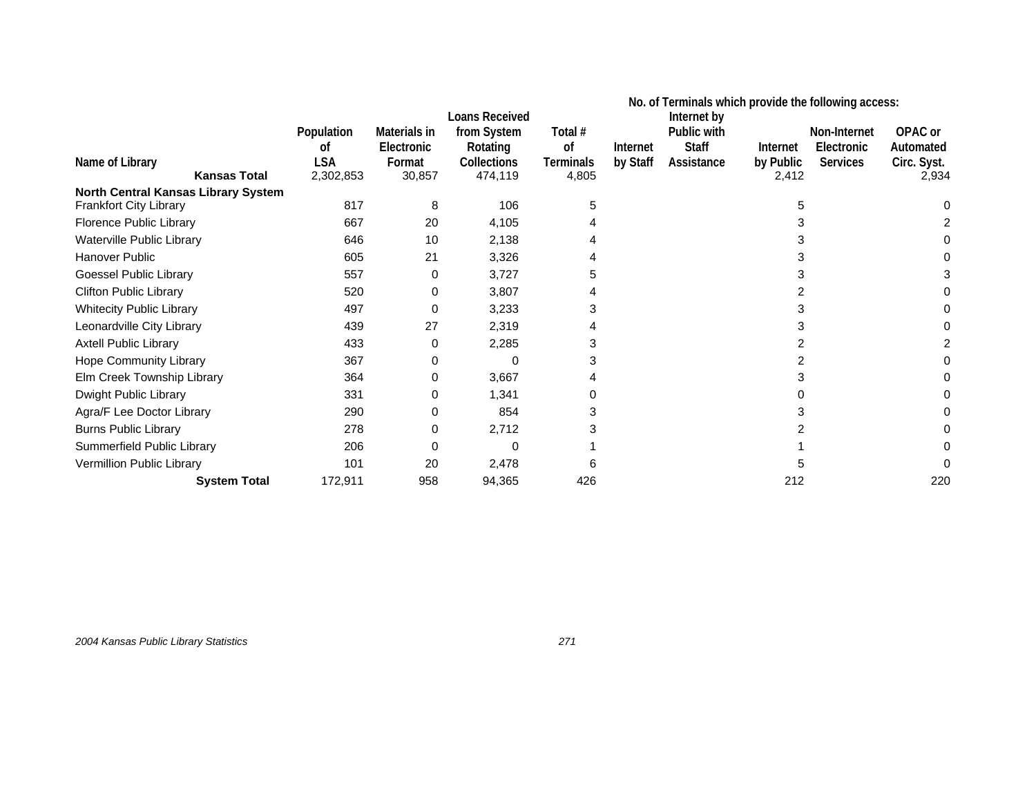|                                     | No. of Terminals which provide the following access:<br><b>Loans Received</b><br>Internet by |                            |                         |               |          |                             |           |                            |                      |
|-------------------------------------|----------------------------------------------------------------------------------------------|----------------------------|-------------------------|---------------|----------|-----------------------------|-----------|----------------------------|----------------------|
|                                     | Population<br>οf                                                                             | Materials in<br>Electronic | from System<br>Rotating | Total #<br>0f | Internet | Public with<br><b>Staff</b> | Internet  | Non-Internet<br>Electronic | OPAC or<br>Automated |
| Name of Library                     | <b>LSA</b>                                                                                   | Format                     | Collections             | Terminals     | by Staff | Assistance                  | by Public | <b>Services</b>            | Circ. Syst.          |
| <b>Kansas Total</b>                 | 2,302,853                                                                                    | 30,857                     | 474,119                 | 4,805         |          |                             | 2,412     |                            | 2,934                |
| North Central Kansas Library System |                                                                                              |                            |                         |               |          |                             |           |                            |                      |
| Frankfort City Library              | 817                                                                                          | 8                          | 106                     | 5             |          |                             | 5         |                            |                      |
| Florence Public Library             | 667                                                                                          | 20                         | 4,105                   |               |          |                             | 3         |                            |                      |
| Waterville Public Library           | 646                                                                                          | 10                         | 2,138                   |               |          |                             | з         |                            |                      |
| Hanover Public                      | 605                                                                                          | 21                         | 3,326                   |               |          |                             | 3         |                            |                      |
| Goessel Public Library              | 557                                                                                          | 0                          | 3,727                   |               |          |                             |           |                            |                      |
| <b>Clifton Public Library</b>       | 520                                                                                          | 0                          | 3,807                   |               |          |                             |           |                            |                      |
| <b>Whitecity Public Library</b>     | 497                                                                                          | 0                          | 3,233                   |               |          |                             | 3         |                            |                      |
| Leonardville City Library           | 439                                                                                          | 27                         | 2,319                   |               |          |                             | 3         |                            |                      |
| <b>Axtell Public Library</b>        | 433                                                                                          | 0                          | 2,285                   |               |          |                             |           |                            |                      |
| <b>Hope Community Library</b>       | 367                                                                                          | 0                          | $\Omega$                |               |          |                             |           |                            |                      |
| Elm Creek Township Library          | 364                                                                                          | 0                          | 3,667                   |               |          |                             |           |                            |                      |
| Dwight Public Library               | 331                                                                                          | 0                          | 1,341                   |               |          |                             |           |                            |                      |
| Agra/F Lee Doctor Library           | 290                                                                                          | 0                          | 854                     |               |          |                             |           |                            |                      |
| <b>Burns Public Library</b>         | 278                                                                                          | 0                          | 2,712                   |               |          |                             |           |                            |                      |
| Summerfield Public Library          | 206                                                                                          | 0                          | $\Omega$                |               |          |                             |           |                            |                      |
| Vermillion Public Library           | 101                                                                                          | 20                         | 2,478                   |               |          |                             |           |                            |                      |
| <b>System Total</b>                 | 172,911                                                                                      | 958                        | 94,365                  | 426           |          |                             | 212       |                            | 220                  |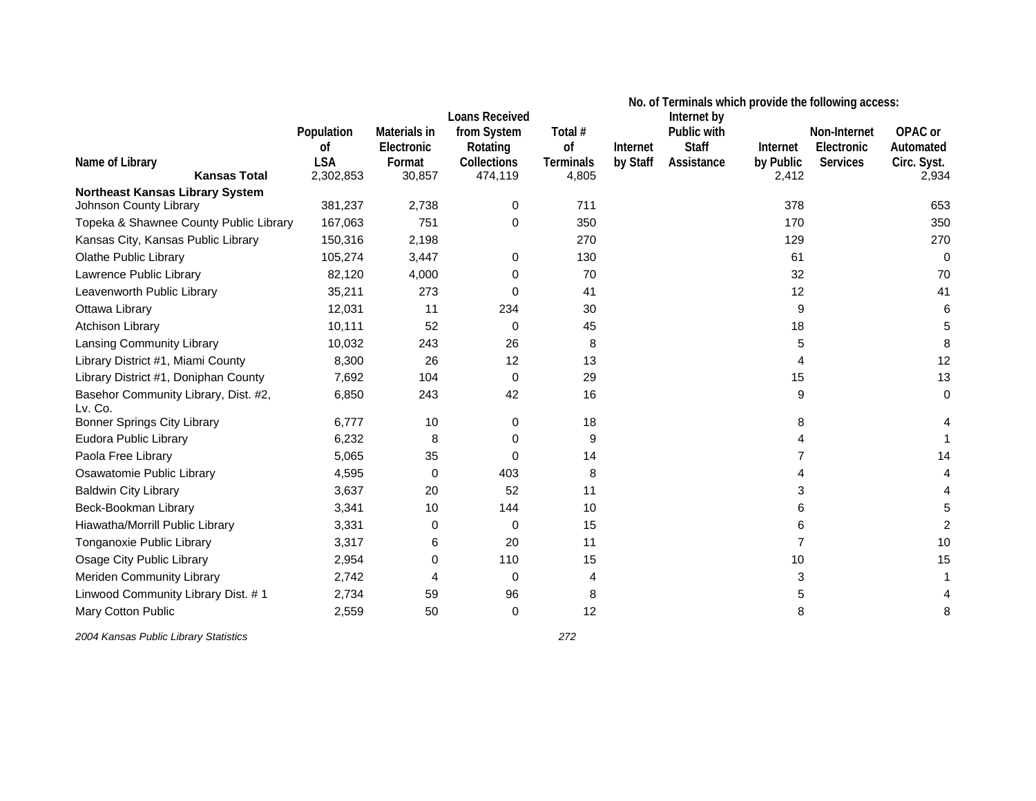|                                                 |            |              | <b>Loans Received</b> |                  | No. of Terminals which provide the following access:<br>Internet by |              |           |                 |             |
|-------------------------------------------------|------------|--------------|-----------------------|------------------|---------------------------------------------------------------------|--------------|-----------|-----------------|-------------|
|                                                 | Population | Materials in | from System           | Total #          |                                                                     | Public with  |           | Non-Internet    | OPAC or     |
|                                                 | οf         | Electronic   | Rotating              | of               | Internet                                                            | <b>Staff</b> | Internet  | Electronic      | Automated   |
| Name of Library                                 | <b>LSA</b> | Format       | Collections           | <b>Terminals</b> | by Staff                                                            | Assistance   | by Public | <b>Services</b> | Circ. Syst. |
| <b>Kansas Total</b>                             | 2,302,853  | 30,857       | 474,119               | 4,805            |                                                                     |              | 2,412     |                 | 2,934       |
| <b>Northeast Kansas Library System</b>          | 381,237    |              |                       | 711              |                                                                     |              | 378       |                 | 653         |
| Johnson County Library                          |            | 2,738        | 0                     |                  |                                                                     |              |           |                 |             |
| Topeka & Shawnee County Public Library          | 167,063    | 751          | 0                     | 350              |                                                                     |              | 170       |                 | 350         |
| Kansas City, Kansas Public Library              | 150,316    | 2,198        |                       | 270              |                                                                     |              | 129       |                 | 270         |
| Olathe Public Library                           | 105,274    | 3,447        | 0                     | 130              |                                                                     |              | 61        |                 | 0           |
| Lawrence Public Library                         | 82,120     | 4,000        | 0                     | 70               |                                                                     |              | 32        |                 | 70          |
| Leavenworth Public Library                      | 35,211     | 273          | $\Omega$              | 41               |                                                                     |              | 12        |                 | 41          |
| Ottawa Library                                  | 12,031     | 11           | 234                   | 30               |                                                                     |              | 9         |                 |             |
| <b>Atchison Library</b>                         | 10,111     | 52           | $\Omega$              | 45               |                                                                     |              | 18        |                 |             |
| Lansing Community Library                       | 10,032     | 243          | 26                    | 8                |                                                                     |              | 5         |                 |             |
| Library District #1, Miami County               | 8,300      | 26           | 12                    | 13               |                                                                     |              | 4         |                 | 12          |
| Library District #1, Doniphan County            | 7,692      | 104          | 0                     | 29               |                                                                     |              | 15        |                 | 13          |
| Basehor Community Library, Dist. #2,<br>Lv. Co. | 6,850      | 243          | 42                    | 16               |                                                                     |              | 9         |                 | $\Omega$    |
| <b>Bonner Springs City Library</b>              | 6,777      | 10           | 0                     | 18               |                                                                     |              | 8         |                 |             |
| Eudora Public Library                           | 6,232      | 8            | 0                     | 9                |                                                                     |              | 4         |                 |             |
| Paola Free Library                              | 5,065      | 35           | $\Omega$              | 14               |                                                                     |              | 7         |                 |             |
| Osawatomie Public Library                       | 4,595      | 0            | 403                   | 8                |                                                                     |              | 4         |                 |             |
| <b>Baldwin City Library</b>                     | 3,637      | 20           | 52                    | 11               |                                                                     |              | 3         |                 |             |
| Beck-Bookman Library                            | 3,341      | 10           | 144                   | 10               |                                                                     |              | 6         |                 |             |
| Hiawatha/Morrill Public Library                 | 3,331      | 0            | $\Omega$              | 15               |                                                                     |              | 6         |                 |             |
| Tonganoxie Public Library                       | 3,317      | 6            | 20                    | 11               |                                                                     |              | 7         |                 | 10          |
| Osage City Public Library                       | 2,954      | 0            | 110                   | 15               |                                                                     |              | 10        |                 | 15          |
| <b>Meriden Community Library</b>                | 2,742      | 4            | $\Omega$              | 4                |                                                                     |              | 3         |                 |             |
| Linwood Community Library Dist. #1              | 2,734      | 59           | 96                    | 8                |                                                                     |              | 5         |                 |             |
| Mary Cotton Public                              | 2,559      | 50           | 0                     | 12               |                                                                     |              | 8         |                 |             |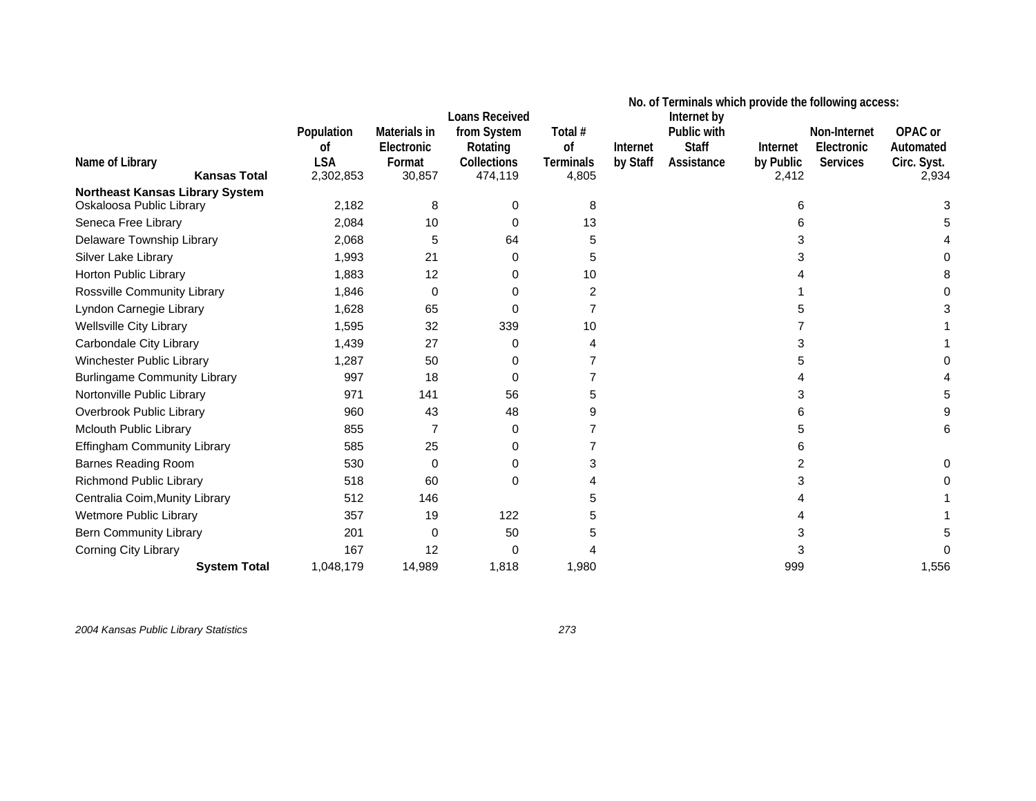|                                                                    |                                |                                      |                                                                 |                                   | No. of Terminals which provide the following access: |                                                          |                       |                                        |                                     |
|--------------------------------------------------------------------|--------------------------------|--------------------------------------|-----------------------------------------------------------------|-----------------------------------|------------------------------------------------------|----------------------------------------------------------|-----------------------|----------------------------------------|-------------------------------------|
| Name of Library                                                    | Population<br>οf<br><b>LSA</b> | Materials in<br>Electronic<br>Format | <b>Loans Received</b><br>from System<br>Rotating<br>Collections | Total #<br>of<br><b>Terminals</b> | Internet<br>by Staff                                 | Internet by<br>Public with<br><b>Staff</b><br>Assistance | Internet<br>by Public | Non-Internet<br>Electronic<br>Services | OPAC or<br>Automated<br>Circ. Syst. |
| <b>Kansas Total</b>                                                | 2,302,853                      | 30,857                               | 474,119                                                         | 4,805                             |                                                      |                                                          | 2,412                 |                                        | 2,934                               |
| <b>Northeast Kansas Library System</b><br>Oskaloosa Public Library | 2,182                          | 8                                    | 0                                                               | 8                                 |                                                      |                                                          | 6                     |                                        |                                     |
| Seneca Free Library                                                | 2,084                          | 10                                   | 0                                                               | 13                                |                                                      |                                                          | 6                     |                                        |                                     |
| Delaware Township Library                                          | 2,068                          | 5                                    | 64                                                              | 5                                 |                                                      |                                                          | 3                     |                                        |                                     |
| Silver Lake Library                                                | 1,993                          | 21                                   | 0                                                               | 5                                 |                                                      |                                                          |                       |                                        |                                     |
| Horton Public Library                                              | 1,883                          | 12                                   | 0                                                               | 10                                |                                                      |                                                          |                       |                                        |                                     |
| Rossville Community Library                                        | 1,846                          | 0                                    | 0                                                               | 2                                 |                                                      |                                                          |                       |                                        |                                     |
| Lyndon Carnegie Library                                            | 1,628                          | 65                                   | $\Omega$                                                        |                                   |                                                      |                                                          |                       |                                        |                                     |
| <b>Wellsville City Library</b>                                     | 1,595                          | 32                                   | 339                                                             | 10                                |                                                      |                                                          |                       |                                        |                                     |
| Carbondale City Library                                            | 1,439                          | 27                                   | 0                                                               | 4                                 |                                                      |                                                          | 3                     |                                        |                                     |
| <b>Winchester Public Library</b>                                   | 1,287                          | 50                                   | 0                                                               |                                   |                                                      |                                                          | 5                     |                                        |                                     |
| <b>Burlingame Community Library</b>                                | 997                            | 18                                   | 0                                                               |                                   |                                                      |                                                          |                       |                                        |                                     |
| Nortonville Public Library                                         | 971                            | 141                                  | 56                                                              |                                   |                                                      |                                                          | 3                     |                                        |                                     |
| Overbrook Public Library                                           | 960                            | 43                                   | 48                                                              |                                   |                                                      |                                                          | 6                     |                                        |                                     |
| Mclouth Public Library                                             | 855                            |                                      | 0                                                               |                                   |                                                      |                                                          | 5                     |                                        |                                     |
| Effingham Community Library                                        | 585                            | 25                                   | 0                                                               |                                   |                                                      |                                                          | 6                     |                                        |                                     |
| <b>Barnes Reading Room</b>                                         | 530                            | 0                                    | 0                                                               |                                   |                                                      |                                                          | 2                     |                                        |                                     |
| <b>Richmond Public Library</b>                                     | 518                            | 60                                   | 0                                                               |                                   |                                                      |                                                          |                       |                                        |                                     |
| Centralia Coim, Munity Library                                     | 512                            | 146                                  |                                                                 |                                   |                                                      |                                                          |                       |                                        |                                     |
| <b>Wetmore Public Library</b>                                      | 357                            | 19                                   | 122                                                             |                                   |                                                      |                                                          |                       |                                        |                                     |
| <b>Bern Community Library</b>                                      | 201                            | $\Omega$                             | 50                                                              |                                   |                                                      |                                                          | 3                     |                                        |                                     |
| Corning City Library                                               | 167                            | 12                                   | 0                                                               |                                   |                                                      |                                                          | 3                     |                                        |                                     |
| <b>System Total</b>                                                | 1,048,179                      | 14,989                               | 1,818                                                           | 1,980                             |                                                      |                                                          | 999                   |                                        | 1,556                               |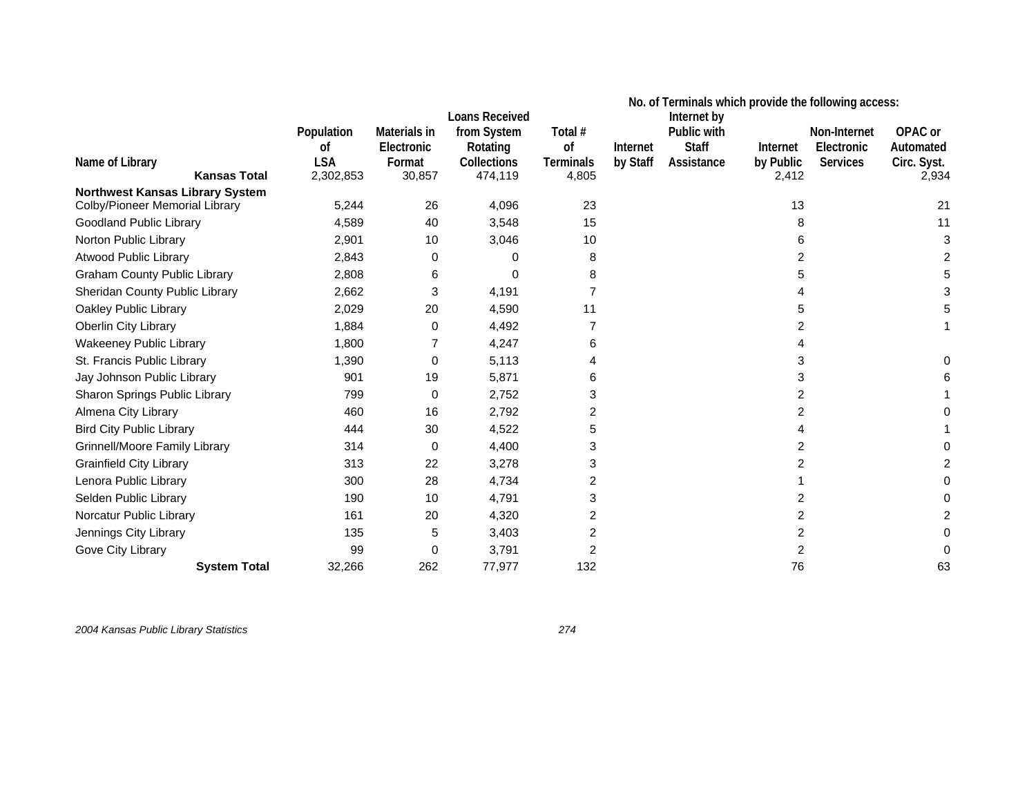|                                        |                                                        |                                                |                                                                            | No. of Terminals which provide the following access: |                      |                                                          |                                |                                               |                                              |
|----------------------------------------|--------------------------------------------------------|------------------------------------------------|----------------------------------------------------------------------------|------------------------------------------------------|----------------------|----------------------------------------------------------|--------------------------------|-----------------------------------------------|----------------------------------------------|
| Name of Library<br><b>Kansas Total</b> | Population<br><sub>of</sub><br><b>LSA</b><br>2,302,853 | Materials in<br>Electronic<br>Format<br>30,857 | <b>Loans Received</b><br>from System<br>Rotating<br>Collections<br>474,119 | Total #<br>of<br><b>Terminals</b><br>4,805           | Internet<br>by Staff | Internet by<br>Public with<br><b>Staff</b><br>Assistance | Internet<br>by Public<br>2,412 | Non-Internet<br>Electronic<br><b>Services</b> | OPAC or<br>Automated<br>Circ. Syst.<br>2,934 |
| Northwest Kansas Library System        |                                                        |                                                |                                                                            |                                                      |                      |                                                          |                                |                                               |                                              |
| Colby/Pioneer Memorial Library         | 5,244                                                  | 26                                             | 4,096                                                                      | 23                                                   |                      |                                                          | 13                             |                                               | 21                                           |
| <b>Goodland Public Library</b>         | 4,589                                                  | 40                                             | 3,548                                                                      | 15                                                   |                      |                                                          | 8                              |                                               | 11                                           |
| Norton Public Library                  | 2,901                                                  | 10                                             | 3,046                                                                      | 10                                                   |                      |                                                          | 6                              |                                               |                                              |
| <b>Atwood Public Library</b>           | 2,843                                                  | 0                                              | 0                                                                          | 8                                                    |                      |                                                          | 2                              |                                               |                                              |
| <b>Graham County Public Library</b>    | 2,808                                                  | 6                                              | 0                                                                          | 8                                                    |                      |                                                          | 5                              |                                               |                                              |
| Sheridan County Public Library         | 2,662                                                  | 3                                              | 4,191                                                                      |                                                      |                      |                                                          |                                |                                               |                                              |
| Oakley Public Library                  | 2,029                                                  | 20                                             | 4,590                                                                      | 11                                                   |                      |                                                          | 5                              |                                               |                                              |
| Oberlin City Library                   | 1,884                                                  | 0                                              | 4,492                                                                      |                                                      |                      |                                                          | 2                              |                                               |                                              |
| <b>Wakeeney Public Library</b>         | 1,800                                                  |                                                | 4,247                                                                      | 6                                                    |                      |                                                          | 4                              |                                               |                                              |
| St. Francis Public Library             | 1,390                                                  | 0                                              | 5,113                                                                      |                                                      |                      |                                                          | 3                              |                                               |                                              |
| Jay Johnson Public Library             | 901                                                    | 19                                             | 5,871                                                                      | 6                                                    |                      |                                                          | 3                              |                                               |                                              |
| Sharon Springs Public Library          | 799                                                    | 0                                              | 2,752                                                                      | 3                                                    |                      |                                                          | 2                              |                                               |                                              |
| Almena City Library                    | 460                                                    | 16                                             | 2,792                                                                      | 2                                                    |                      |                                                          | 2                              |                                               |                                              |
| <b>Bird City Public Library</b>        | 444                                                    | 30                                             | 4,522                                                                      | 5                                                    |                      |                                                          | 4                              |                                               |                                              |
| Grinnell/Moore Family Library          | 314                                                    | $\Omega$                                       | 4,400                                                                      | 3                                                    |                      |                                                          | 2                              |                                               |                                              |
| <b>Grainfield City Library</b>         | 313                                                    | 22                                             | 3,278                                                                      | 3                                                    |                      |                                                          | 2                              |                                               |                                              |
| Lenora Public Library                  | 300                                                    | 28                                             | 4,734                                                                      | 2                                                    |                      |                                                          |                                |                                               |                                              |
| Selden Public Library                  | 190                                                    | 10                                             | 4,791                                                                      | 3                                                    |                      |                                                          | 2                              |                                               |                                              |
| Norcatur Public Library                | 161                                                    | 20                                             | 4,320                                                                      | 2                                                    |                      |                                                          | 2                              |                                               |                                              |
| Jennings City Library                  | 135                                                    | 5                                              | 3,403                                                                      | 2                                                    |                      |                                                          | 2                              |                                               |                                              |
| Gove City Library                      | 99                                                     | $\Omega$                                       | 3,791                                                                      | 2                                                    |                      |                                                          | 2                              |                                               |                                              |
| <b>System Total</b>                    | 32,266                                                 | 262                                            | 77,977                                                                     | 132                                                  |                      |                                                          | 76                             |                                               | 63                                           |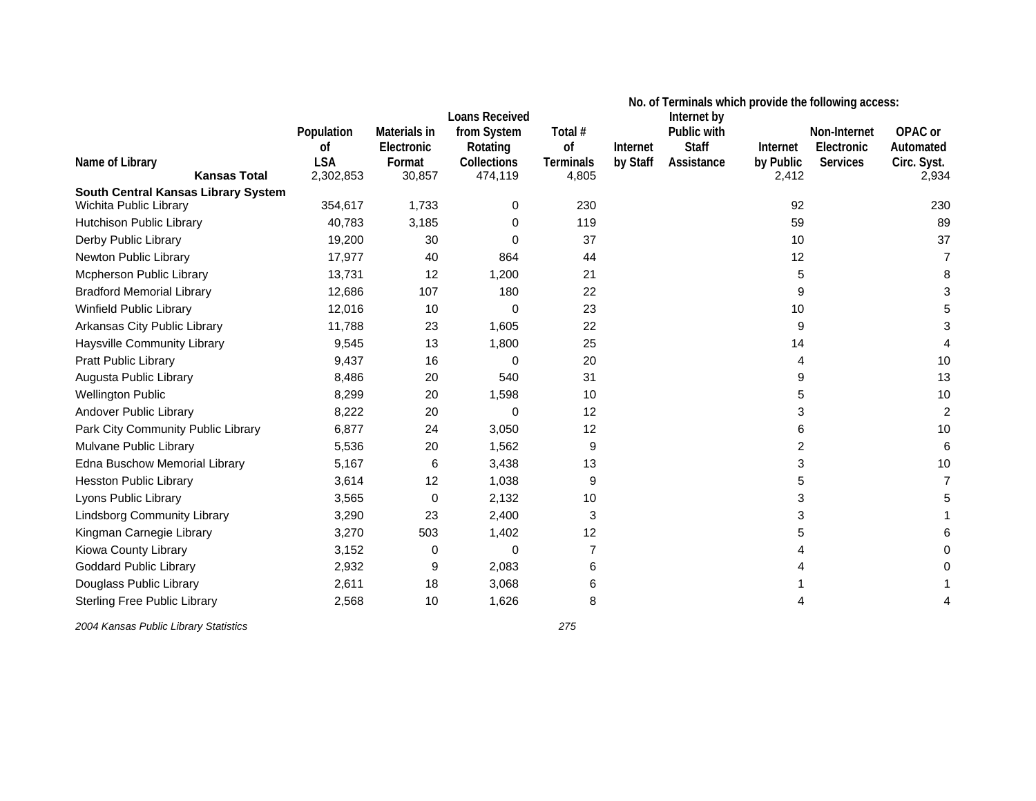|                                     |            |              | <b>Loans Received</b> | No. of Terminals which provide the following access:<br>Internet by |          |              |           |                 |             |
|-------------------------------------|------------|--------------|-----------------------|---------------------------------------------------------------------|----------|--------------|-----------|-----------------|-------------|
|                                     | Population | Materials in | from System           | Total #                                                             |          | Public with  |           | Non-Internet    | OPAC or     |
|                                     | 0f         | Electronic   | Rotating              | of                                                                  | Internet | <b>Staff</b> | Internet  | Electronic      | Automated   |
| Name of Library                     | <b>LSA</b> | Format       | <b>Collections</b>    | <b>Terminals</b>                                                    | by Staff | Assistance   | by Public | <b>Services</b> | Circ. Syst. |
| <b>Kansas Total</b>                 | 2,302,853  | 30,857       | 474,119               | 4,805                                                               |          |              | 2,412     |                 | 2,934       |
| South Central Kansas Library System |            |              |                       |                                                                     |          |              |           |                 |             |
| Wichita Public Library              | 354,617    | 1,733        | 0                     | 230                                                                 |          |              | 92        |                 | 230         |
| Hutchison Public Library            | 40,783     | 3,185        | 0                     | 119                                                                 |          |              | 59        |                 | 89          |
| Derby Public Library                | 19,200     | 30           | $\Omega$              | 37                                                                  |          |              | 10        |                 | 37          |
| Newton Public Library               | 17,977     | 40           | 864                   | 44                                                                  |          |              | 12        |                 | 7           |
| Mcpherson Public Library            | 13,731     | 12           | 1,200                 | 21                                                                  |          |              | 5         |                 | 8           |
| <b>Bradford Memorial Library</b>    | 12,686     | 107          | 180                   | 22                                                                  |          |              | 9         |                 |             |
| Winfield Public Library             | 12,016     | 10           | $\Omega$              | 23                                                                  |          |              | 10        |                 |             |
| Arkansas City Public Library        | 11,788     | 23           | 1,605                 | 22                                                                  |          |              | 9         |                 |             |
| Haysville Community Library         | 9,545      | 13           | 1,800                 | 25                                                                  |          |              | 14        |                 |             |
| Pratt Public Library                | 9,437      | 16           | 0                     | 20                                                                  |          |              | 4         |                 | 10          |
| Augusta Public Library              | 8,486      | 20           | 540                   | 31                                                                  |          |              | 9         |                 | 13          |
| <b>Wellington Public</b>            | 8,299      | 20           | 1,598                 | 10                                                                  |          |              | 5         |                 | 10          |
| Andover Public Library              | 8,222      | 20           | 0                     | 12                                                                  |          |              | 3         |                 | 2           |
| Park City Community Public Library  | 6,877      | 24           | 3,050                 | 12                                                                  |          |              | 6         |                 | 10          |
| Mulvane Public Library              | 5,536      | 20           | 1,562                 | 9                                                                   |          |              | 2         |                 | 6           |
| Edna Buschow Memorial Library       | 5,167      | 6            | 3,438                 | 13                                                                  |          |              | 3         |                 | 10          |
| <b>Hesston Public Library</b>       | 3,614      | 12           | 1,038                 | 9                                                                   |          |              | 5         |                 |             |
| Lyons Public Library                | 3,565      | 0            | 2,132                 | 10                                                                  |          |              | 3         |                 |             |
| <b>Lindsborg Community Library</b>  | 3,290      | 23           | 2,400                 | 3                                                                   |          |              | 3         |                 |             |
| Kingman Carnegie Library            | 3,270      | 503          | 1,402                 | 12                                                                  |          |              | 5         |                 |             |
| Kiowa County Library                | 3,152      | 0            | 0                     | $\overline{7}$                                                      |          |              |           |                 |             |
| <b>Goddard Public Library</b>       | 2,932      | 9            | 2,083                 | 6                                                                   |          |              |           |                 |             |
| Douglass Public Library             | 2,611      | 18           | 3,068                 | 6                                                                   |          |              |           |                 |             |
| <b>Sterling Free Public Library</b> | 2,568      | 10           | 1,626                 | 8                                                                   |          |              | 4         |                 |             |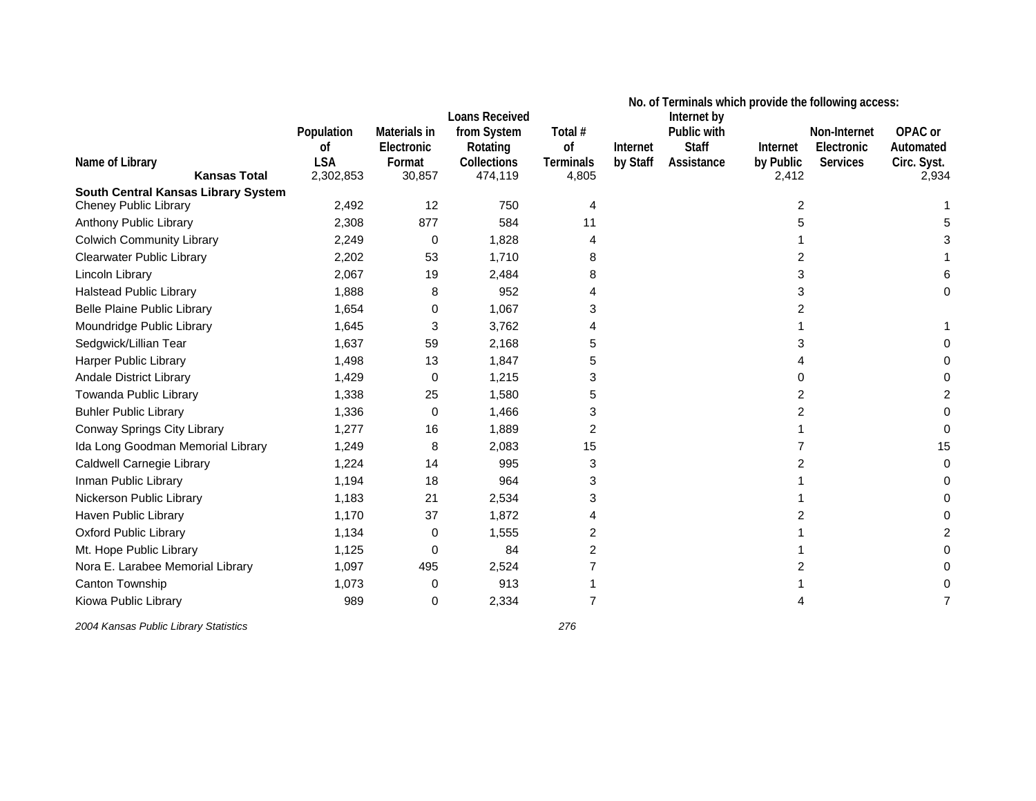|                                     |            |              |                               | No. of Terminals which provide the following access: |          |                            |           |                 |             |
|-------------------------------------|------------|--------------|-------------------------------|------------------------------------------------------|----------|----------------------------|-----------|-----------------|-------------|
|                                     | Population | Materials in | Loans Received<br>from System | Total #                                              |          | Internet by<br>Public with |           | Non-Internet    | OPAC or     |
|                                     | 0f         | Electronic   | Rotating                      | of                                                   | Internet | <b>Staff</b>               | Internet  | Electronic      | Automated   |
| Name of Library                     | <b>LSA</b> | Format       | Collections                   | <b>Terminals</b>                                     | by Staff | Assistance                 | by Public | <b>Services</b> | Circ. Syst. |
| <b>Kansas Total</b>                 | 2,302,853  | 30,857       | 474,119                       | 4,805                                                |          |                            | 2,412     |                 | 2,934       |
| South Central Kansas Library System |            |              |                               |                                                      |          |                            |           |                 |             |
| <b>Cheney Public Library</b>        | 2,492      | 12           | 750                           | 4                                                    |          |                            | 2         |                 |             |
| Anthony Public Library              | 2,308      | 877          | 584                           | 11                                                   |          |                            | 5         |                 |             |
| <b>Colwich Community Library</b>    | 2,249      | 0            | 1,828                         | 4                                                    |          |                            |           |                 |             |
| <b>Clearwater Public Library</b>    | 2,202      | 53           | 1,710                         | 8                                                    |          |                            | 2         |                 |             |
| Lincoln Library                     | 2,067      | 19           | 2,484                         | 8                                                    |          |                            | 3         |                 |             |
| <b>Halstead Public Library</b>      | 1,888      | 8            | 952                           |                                                      |          |                            | 3         |                 |             |
| <b>Belle Plaine Public Library</b>  | 1,654      | 0            | 1,067                         | 3                                                    |          |                            | 2         |                 |             |
| Moundridge Public Library           | 1,645      | 3            | 3,762                         |                                                      |          |                            |           |                 |             |
| Sedgwick/Lillian Tear               | 1,637      | 59           | 2,168                         | 5                                                    |          |                            | 3         |                 |             |
| Harper Public Library               | 1,498      | 13           | 1,847                         | 5                                                    |          |                            |           |                 |             |
| <b>Andale District Library</b>      | 1,429      | 0            | 1,215                         | 3                                                    |          |                            | 0         |                 |             |
| Towanda Public Library              | 1,338      | 25           | 1,580                         | 5                                                    |          |                            | 2         |                 |             |
| <b>Buhler Public Library</b>        | 1,336      | 0            | 1,466                         | 3                                                    |          |                            | 2         |                 |             |
| Conway Springs City Library         | 1,277      | 16           | 1,889                         | 2                                                    |          |                            |           |                 |             |
| Ida Long Goodman Memorial Library   | 1,249      | 8            | 2,083                         | 15                                                   |          |                            |           |                 |             |
| Caldwell Carnegie Library           | 1,224      | 14           | 995                           | 3                                                    |          |                            | 2         |                 |             |
| Inman Public Library                | 1,194      | 18           | 964                           | 3                                                    |          |                            |           |                 |             |
| Nickerson Public Library            | 1,183      | 21           | 2,534                         | 3                                                    |          |                            |           |                 |             |
| Haven Public Library                | 1,170      | 37           | 1,872                         | 4                                                    |          |                            | 2         |                 |             |
| <b>Oxford Public Library</b>        | 1,134      | 0            | 1,555                         | 2                                                    |          |                            |           |                 |             |
| Mt. Hope Public Library             | 1,125      | 0            | 84                            | 2                                                    |          |                            |           |                 |             |
| Nora E. Larabee Memorial Library    | 1,097      | 495          | 2,524                         |                                                      |          |                            |           |                 |             |
| Canton Township                     | 1,073      | 0            | 913                           |                                                      |          |                            |           |                 |             |
| Kiowa Public Library                | 989        | 0            | 2,334                         | 7                                                    |          |                            |           |                 |             |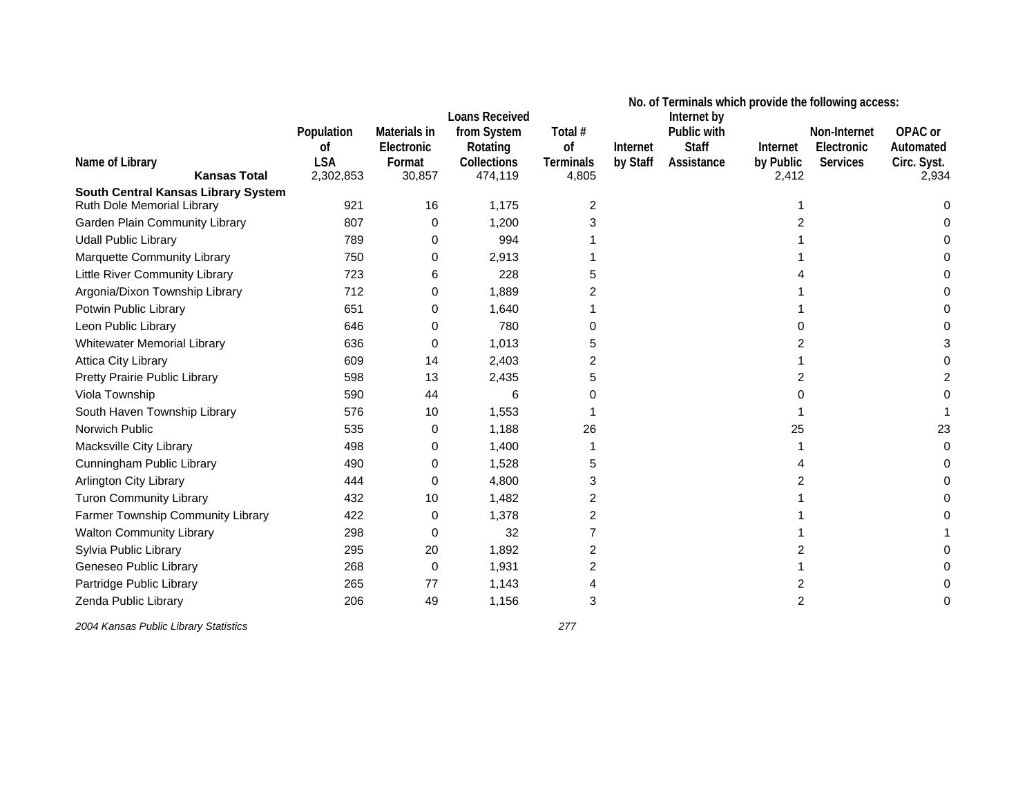|                                     |            |              | <b>Loans Received</b> | No. of Terminals which provide the following access:<br>Internet by |          |              |           |                 |             |
|-------------------------------------|------------|--------------|-----------------------|---------------------------------------------------------------------|----------|--------------|-----------|-----------------|-------------|
|                                     | Population | Materials in | from System           | Total #                                                             |          | Public with  |           | Non-Internet    | OPAC or     |
|                                     | 0f         | Electronic   | Rotating              | of                                                                  | Internet | <b>Staff</b> | Internet  | Electronic      | Automated   |
| Name of Library                     | <b>LSA</b> | Format       | <b>Collections</b>    | <b>Terminals</b>                                                    | by Staff | Assistance   | by Public | <b>Services</b> | Circ. Syst. |
| <b>Kansas Total</b>                 | 2,302,853  | 30,857       | 474,119               | 4,805                                                               |          |              | 2,412     |                 | 2,934       |
| South Central Kansas Library System |            |              |                       |                                                                     |          |              |           |                 |             |
| Ruth Dole Memorial Library          | 921        | 16           | 1,175                 | 2                                                                   |          |              |           |                 |             |
| Garden Plain Community Library      | 807        | 0            | 1,200                 | З                                                                   |          |              |           |                 |             |
| <b>Udall Public Library</b>         | 789        | 0            | 994                   |                                                                     |          |              |           |                 |             |
| Marquette Community Library         | 750        | 0            | 2,913                 |                                                                     |          |              |           |                 |             |
| Little River Community Library      | 723        | 6            | 228                   |                                                                     |          |              |           |                 |             |
| Argonia/Dixon Township Library      | 712        | 0            | 1,889                 |                                                                     |          |              |           |                 |             |
| Potwin Public Library               | 651        | 0            | 1,640                 |                                                                     |          |              |           |                 |             |
| Leon Public Library                 | 646        | 0            | 780                   |                                                                     |          |              |           |                 |             |
| <b>Whitewater Memorial Library</b>  | 636        | 0            | 1,013                 | 5                                                                   |          |              | 2         |                 |             |
| Attica City Library                 | 609        | 14           | 2,403                 | 2                                                                   |          |              |           |                 |             |
| Pretty Prairie Public Library       | 598        | 13           | 2,435                 | 5                                                                   |          |              | 2         |                 |             |
| Viola Township                      | 590        | 44           | 6                     |                                                                     |          |              |           |                 |             |
| South Haven Township Library        | 576        | 10           | 1,553                 |                                                                     |          |              |           |                 |             |
| Norwich Public                      | 535        | 0            | 1,188                 | 26                                                                  |          |              | 25        |                 | 23          |
| Macksville City Library             | 498        | 0            | 1,400                 |                                                                     |          |              |           |                 |             |
| Cunningham Public Library           | 490        | 0            | 1,528                 | 5                                                                   |          |              |           |                 |             |
| Arlington City Library              | 444        | 0            | 4,800                 | 3                                                                   |          |              | 2         |                 |             |
| <b>Turon Community Library</b>      | 432        | 10           | 1,482                 | 2                                                                   |          |              |           |                 |             |
| Farmer Township Community Library   | 422        | 0            | 1,378                 | 2                                                                   |          |              |           |                 |             |
| <b>Walton Community Library</b>     | 298        | 0            | 32                    | 7                                                                   |          |              |           |                 |             |
| Sylvia Public Library               | 295        | 20           | 1,892                 | 2                                                                   |          |              |           |                 |             |
| Geneseo Public Library              | 268        | $\Omega$     | 1,931                 | 2                                                                   |          |              |           |                 |             |
| Partridge Public Library            | 265        | 77           | 1,143                 |                                                                     |          |              | 2         |                 |             |
| Zenda Public Library                | 206        | 49           | 1,156                 | 3                                                                   |          |              | 2         |                 |             |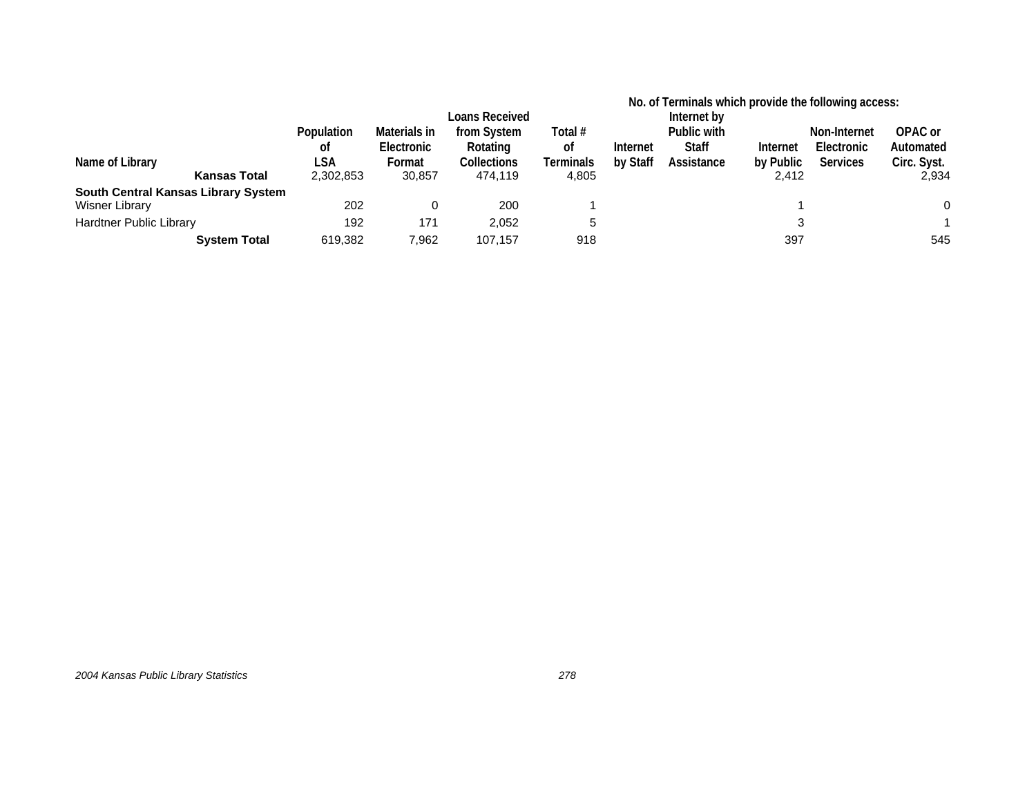|                                     |            |              |                       |           | No. of Terminals which provide the following access: |              |           |                 |             |
|-------------------------------------|------------|--------------|-----------------------|-----------|------------------------------------------------------|--------------|-----------|-----------------|-------------|
|                                     |            |              | <b>Loans Received</b> |           | Internet by                                          |              |           |                 |             |
|                                     | Population | Materials in | from System           | Total #   |                                                      | Public with  |           | Non-Internet    | OPAC or     |
|                                     | 0f         | Electronic   | Rotating              | 0f        | Internet                                             | <b>Staff</b> | Internet  | Electronic      | Automated   |
| Name of Library                     | LSA        | Format       | <b>Collections</b>    | Terminals | by Staff                                             | Assistance   | by Public | <b>Services</b> | Circ. Syst. |
| <b>Kansas Total</b>                 | 2,302,853  | 30,857       | 474.119               | 4,805     |                                                      |              | 2.412     |                 | 2,934       |
| South Central Kansas Library System |            |              |                       |           |                                                      |              |           |                 |             |
| Wisner Library                      | 202        |              | 200                   |           |                                                      |              |           |                 | 0           |
| <b>Hardtner Public Library</b>      | 192        | 171          | 2.052                 | 5         |                                                      |              |           |                 |             |
| <b>System Total</b>                 | 619,382    | 7,962        | 107.157               | 918       |                                                      |              | 397       |                 | 545         |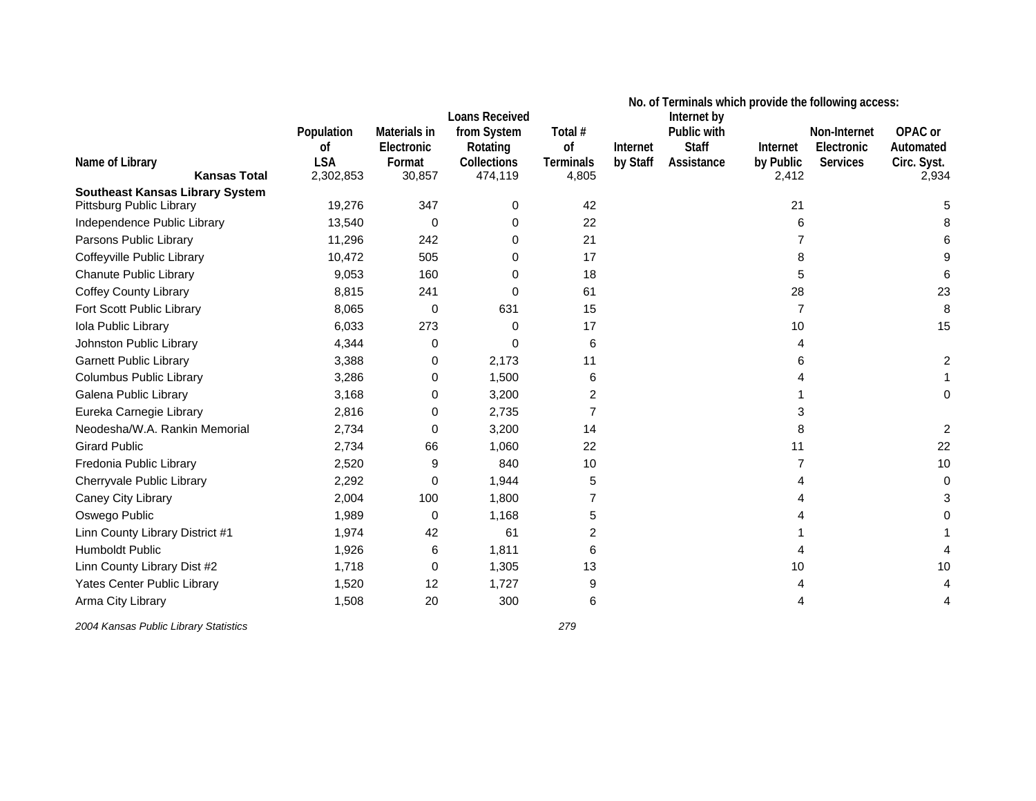|                                        |            |              |                                      | No. of Terminals which provide the following access: |          |                            |                |                 |             |  |
|----------------------------------------|------------|--------------|--------------------------------------|------------------------------------------------------|----------|----------------------------|----------------|-----------------|-------------|--|
|                                        | Population | Materials in | <b>Loans Received</b><br>from System | Total #                                              |          | Internet by<br>Public with |                | Non-Internet    | OPAC or     |  |
|                                        | 0f         | Electronic   | Rotating                             | of                                                   | Internet | <b>Staff</b>               | Internet       | Electronic      | Automated   |  |
| Name of Library                        | <b>LSA</b> | Format       | Collections                          | <b>Terminals</b>                                     | by Staff | Assistance                 | by Public      | <b>Services</b> | Circ. Syst. |  |
| <b>Kansas Total</b>                    | 2,302,853  | 30,857       | 474,119                              | 4,805                                                |          |                            | 2,412          |                 | 2,934       |  |
| <b>Southeast Kansas Library System</b> |            |              |                                      |                                                      |          |                            |                |                 |             |  |
| Pittsburg Public Library               | 19,276     | 347          | 0                                    | 42                                                   |          |                            | 21             |                 |             |  |
| Independence Public Library            | 13,540     | 0            | 0                                    | 22                                                   |          |                            | 6              |                 |             |  |
| Parsons Public Library                 | 11,296     | 242          | 0                                    | 21                                                   |          |                            |                |                 |             |  |
| Coffeyville Public Library             | 10,472     | 505          | 0                                    | 17                                                   |          |                            | 8              |                 |             |  |
| Chanute Public Library                 | 9,053      | 160          | 0                                    | 18                                                   |          |                            | 5              |                 |             |  |
| <b>Coffey County Library</b>           | 8,815      | 241          | 0                                    | 61                                                   |          |                            | 28             |                 | 23          |  |
| Fort Scott Public Library              | 8,065      | 0            | 631                                  | 15                                                   |          |                            | $\overline{7}$ |                 | 8           |  |
| Iola Public Library                    | 6,033      | 273          | 0                                    | 17                                                   |          |                            | 10             |                 | 15          |  |
| Johnston Public Library                | 4,344      | 0            | $\Omega$                             | 6                                                    |          |                            | 4              |                 |             |  |
| <b>Garnett Public Library</b>          | 3,388      | 0            | 2,173                                | 11                                                   |          |                            | 6              |                 |             |  |
| <b>Columbus Public Library</b>         | 3,286      | 0            | 1,500                                | 6                                                    |          |                            |                |                 |             |  |
| Galena Public Library                  | 3,168      | 0            | 3,200                                | 2                                                    |          |                            |                |                 |             |  |
| Eureka Carnegie Library                | 2,816      | 0            | 2,735                                | 7                                                    |          |                            | 3              |                 |             |  |
| Neodesha/W.A. Rankin Memorial          | 2,734      | 0            | 3,200                                | 14                                                   |          |                            | 8              |                 |             |  |
| <b>Girard Public</b>                   | 2,734      | 66           | 1,060                                | 22                                                   |          |                            | 11             |                 | 22          |  |
| Fredonia Public Library                | 2,520      | 9            | 840                                  | 10                                                   |          |                            |                |                 | 10          |  |
| Cherryvale Public Library              | 2,292      | $\Omega$     | 1,944                                | 5                                                    |          |                            |                |                 |             |  |
| Caney City Library                     | 2,004      | 100          | 1,800                                |                                                      |          |                            |                |                 |             |  |
| Oswego Public                          | 1,989      | $\Omega$     | 1,168                                | 5                                                    |          |                            |                |                 |             |  |
| Linn County Library District #1        | 1,974      | 42           | 61                                   | 2                                                    |          |                            |                |                 |             |  |
| Humboldt Public                        | 1,926      | 6            | 1,811                                | 6                                                    |          |                            |                |                 |             |  |
| Linn County Library Dist #2            | 1,718      | 0            | 1,305                                | 13                                                   |          |                            | 10             |                 | 10          |  |
| Yates Center Public Library            | 1,520      | 12           | 1,727                                | 9                                                    |          |                            |                |                 |             |  |
| Arma City Library                      | 1,508      | 20           | 300                                  | 6                                                    |          |                            | 4              |                 |             |  |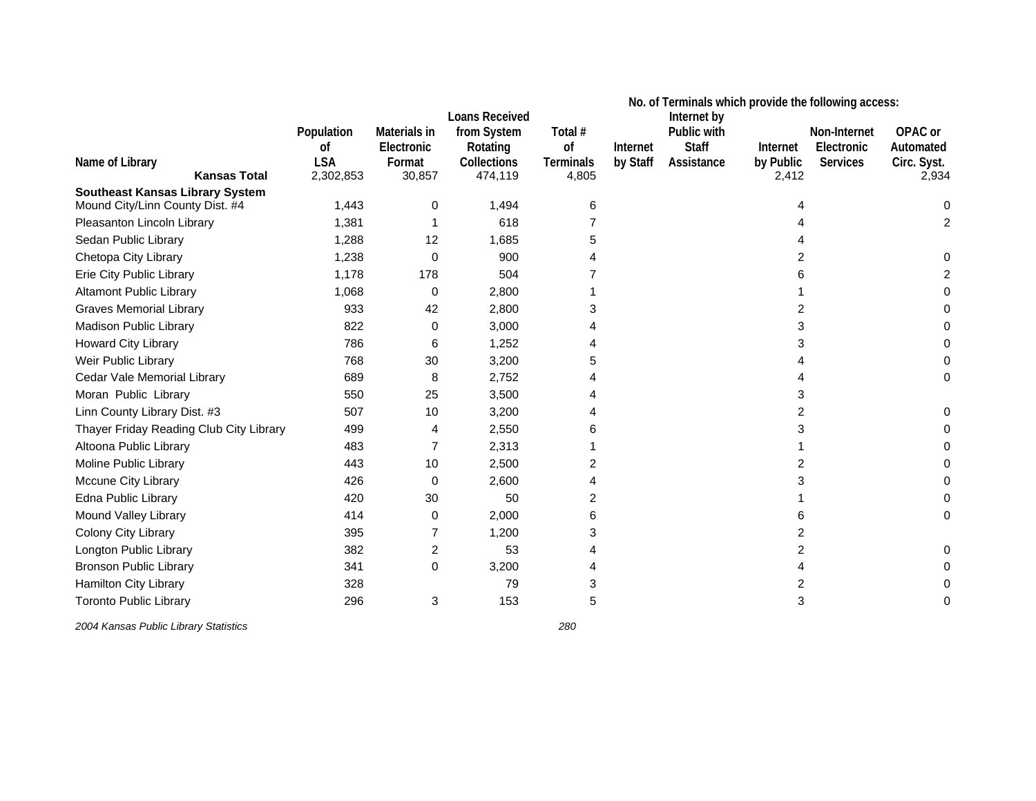|                                                                           |            |              | <b>Loans Received</b> |                  |          | Internet by  |                | No. of Terminals which provide the following access: |             |  |
|---------------------------------------------------------------------------|------------|--------------|-----------------------|------------------|----------|--------------|----------------|------------------------------------------------------|-------------|--|
|                                                                           | Population | Materials in | from System           | Total #          |          | Public with  |                | Non-Internet                                         | OPAC or     |  |
|                                                                           | 0f         | Electronic   | Rotating              | of               | Internet | <b>Staff</b> | Internet       | Electronic                                           | Automated   |  |
| Name of Library                                                           | <b>LSA</b> | Format       | Collections           | <b>Terminals</b> | by Staff | Assistance   | by Public      | <b>Services</b>                                      | Circ. Syst. |  |
| <b>Kansas Total</b>                                                       | 2,302,853  | 30,857       | 474,119               | 4,805            |          |              | 2,412          |                                                      | 2,934       |  |
| <b>Southeast Kansas Library System</b><br>Mound City/Linn County Dist. #4 | 1,443      | 0            | 1,494                 | 6                |          |              |                |                                                      |             |  |
| Pleasanton Lincoln Library                                                | 1,381      |              | 618                   |                  |          |              |                |                                                      |             |  |
| Sedan Public Library                                                      | 1,288      | 12           | 1,685                 | 5                |          |              |                |                                                      |             |  |
| Chetopa City Library                                                      | 1,238      | 0            | 900                   |                  |          |              | 2              |                                                      |             |  |
| Erie City Public Library                                                  | 1,178      | 178          | 504                   |                  |          |              | 6              |                                                      |             |  |
| <b>Altamont Public Library</b>                                            | 1,068      | 0            | 2,800                 |                  |          |              |                |                                                      |             |  |
| <b>Graves Memorial Library</b>                                            | 933        | 42           | 2,800                 |                  |          |              | 2              |                                                      |             |  |
| Madison Public Library                                                    | 822        | 0            | 3,000                 |                  |          |              | 3              |                                                      |             |  |
| Howard City Library                                                       | 786        | 6            | 1,252                 |                  |          |              | 3              |                                                      |             |  |
| Weir Public Library                                                       | 768        | 30           | 3,200                 | 5                |          |              |                |                                                      |             |  |
| Cedar Vale Memorial Library                                               | 689        | 8            | 2,752                 |                  |          |              | 4              |                                                      |             |  |
| Moran Public Library                                                      | 550        | 25           | 3,500                 |                  |          |              | 3              |                                                      |             |  |
| Linn County Library Dist. #3                                              | 507        | 10           | 3,200                 |                  |          |              | $\overline{c}$ |                                                      |             |  |
| Thayer Friday Reading Club City Library                                   | 499        | 4            | 2,550                 |                  |          |              | 3              |                                                      |             |  |
| Altoona Public Library                                                    | 483        |              | 2,313                 |                  |          |              |                |                                                      |             |  |
| Moline Public Library                                                     | 443        | 10           | 2,500                 | 2                |          |              | 2              |                                                      |             |  |
| Mccune City Library                                                       | 426        | 0            | 2,600                 |                  |          |              | 3              |                                                      |             |  |
| Edna Public Library                                                       | 420        | 30           | 50                    | 2                |          |              |                |                                                      |             |  |
| Mound Valley Library                                                      | 414        | 0            | 2,000                 | 6                |          |              | 6              |                                                      |             |  |
| Colony City Library                                                       | 395        |              | 1,200                 | 3                |          |              | 2              |                                                      |             |  |
| Longton Public Library                                                    | 382        | 2            | 53                    |                  |          |              | 2              |                                                      |             |  |
| <b>Bronson Public Library</b>                                             | 341        | $\Omega$     | 3,200                 |                  |          |              | 4              |                                                      |             |  |
| Hamilton City Library                                                     | 328        |              | 79                    | 3                |          |              | 2              |                                                      |             |  |
| <b>Toronto Public Library</b>                                             | 296        | 3            | 153                   | 5                |          |              | 3              |                                                      | 0           |  |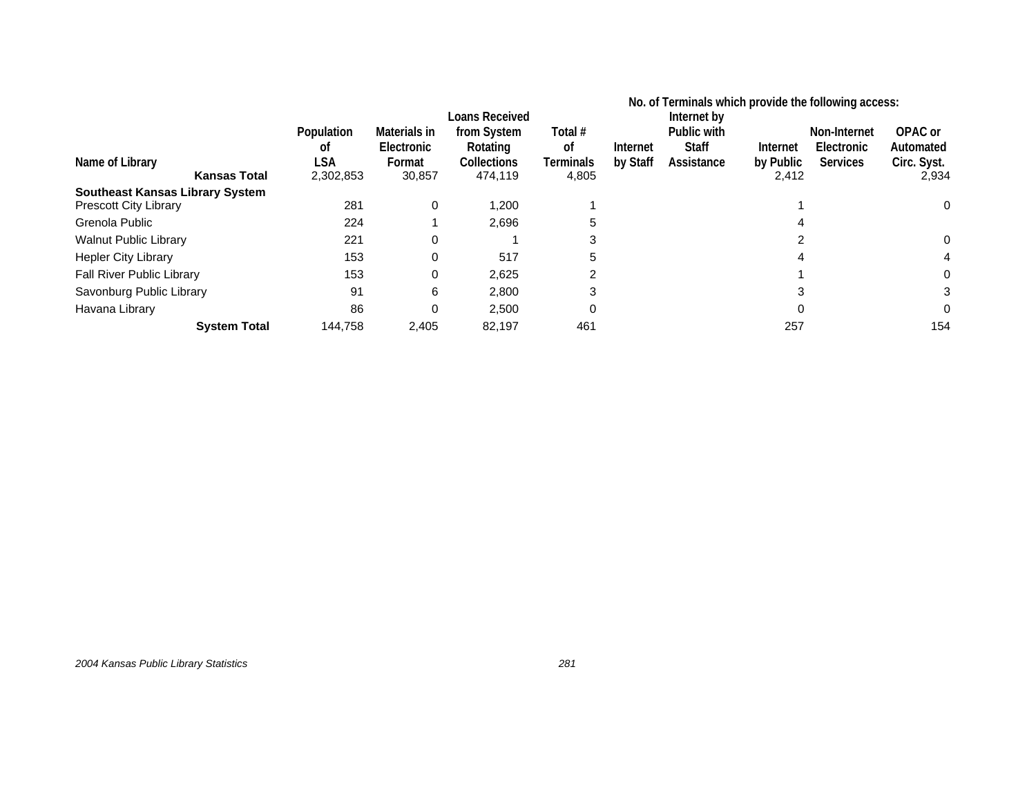|                                        |                         |                                      | Loans Received                         |                            | No. of Terminals which provide the following access:<br>Internet by |                                           |                       |                                               |                                     |
|----------------------------------------|-------------------------|--------------------------------------|----------------------------------------|----------------------------|---------------------------------------------------------------------|-------------------------------------------|-----------------------|-----------------------------------------------|-------------------------------------|
| Name of Library                        | Population<br>οt<br>LSA | Materials in<br>Electronic<br>Format | from System<br>Rotating<br>Collections | Total #<br>οf<br>Terminals | Internet<br>by Staff                                                | Public with<br><b>Staff</b><br>Assistance | Internet<br>by Public | Non-Internet<br>Electronic<br><b>Services</b> | OPAC or<br>Automated<br>Circ. Syst. |
| <b>Kansas Total</b>                    | 2,302,853               | 30,857                               | 474,119                                | 4,805                      |                                                                     |                                           | 2,412                 |                                               | 2,934                               |
| <b>Southeast Kansas Library System</b> |                         |                                      |                                        |                            |                                                                     |                                           |                       |                                               |                                     |
| <b>Prescott City Library</b>           | 281                     | 0                                    | 1,200                                  |                            |                                                                     |                                           |                       |                                               | 0                                   |
| Grenola Public                         | 224                     |                                      | 2,696                                  | 5                          |                                                                     |                                           |                       |                                               |                                     |
| <b>Walnut Public Library</b>           | 221                     | $\Omega$                             |                                        | 3                          |                                                                     |                                           | 2                     |                                               |                                     |
| <b>Hepler City Library</b>             | 153                     | 0                                    | 517                                    | 5                          |                                                                     |                                           |                       |                                               |                                     |
| Fall River Public Library              | 153                     | 0                                    | 2.625                                  | 2                          |                                                                     |                                           |                       |                                               |                                     |
| Savonburg Public Library               | 91                      | 6                                    | 2,800                                  | 3                          |                                                                     |                                           |                       |                                               |                                     |
| Havana Library                         | 86                      | 0                                    | 2,500                                  | 0                          |                                                                     |                                           |                       |                                               |                                     |
| <b>System Total</b>                    | 144.758                 | 2,405                                | 82,197                                 | 461                        |                                                                     |                                           | 257                   |                                               | 154                                 |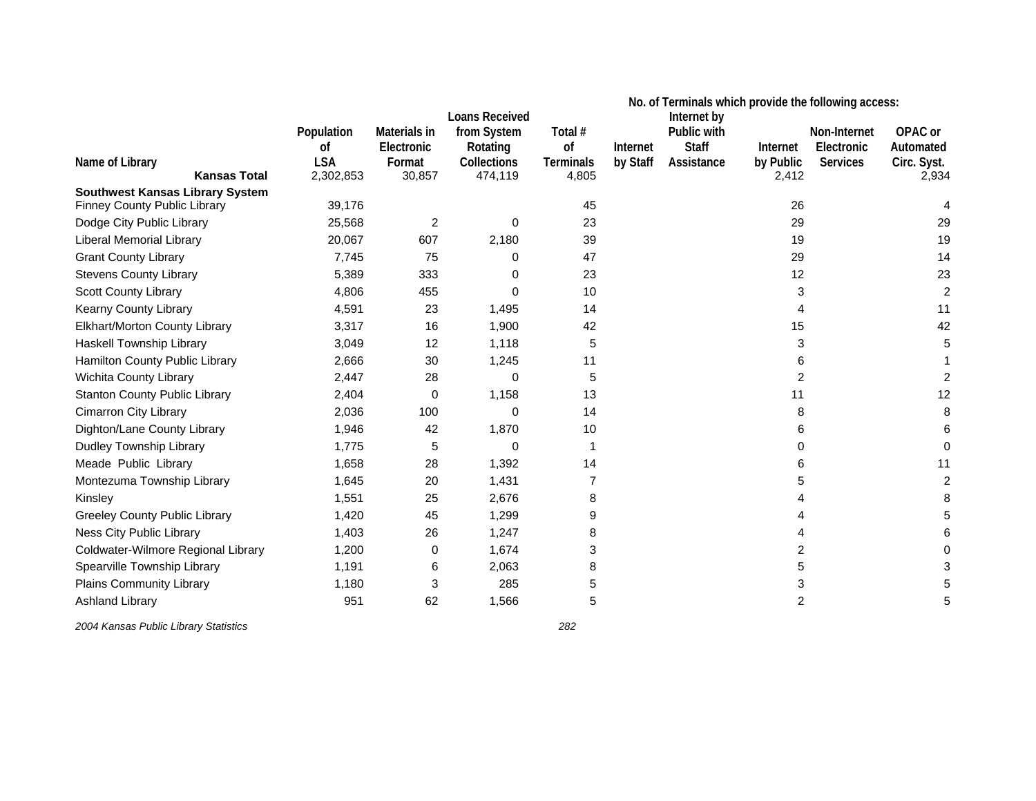|                                        |            |              | <b>Loans Received</b> | No. of Terminals which provide the following access:<br>Internet by |          |              |                |                 |             |  |
|----------------------------------------|------------|--------------|-----------------------|---------------------------------------------------------------------|----------|--------------|----------------|-----------------|-------------|--|
|                                        | Population | Materials in | from System           | Total #                                                             |          | Public with  |                | Non-Internet    | OPAC or     |  |
|                                        | 0f         | Electronic   | Rotating              | οf                                                                  | Internet | <b>Staff</b> | Internet       | Electronic      | Automated   |  |
| Name of Library                        | <b>LSA</b> | Format       | Collections           | <b>Terminals</b>                                                    | by Staff | Assistance   | by Public      | <b>Services</b> | Circ. Syst. |  |
| <b>Kansas Total</b>                    | 2,302,853  | 30,857       | 474,119               | 4,805                                                               |          |              | 2,412          |                 | 2,934       |  |
| <b>Southwest Kansas Library System</b> |            |              |                       |                                                                     |          |              |                |                 |             |  |
| Finney County Public Library           | 39,176     |              |                       | 45                                                                  |          |              | 26             |                 |             |  |
| Dodge City Public Library              | 25,568     | 2            | $\mathbf 0$           | 23                                                                  |          |              | 29             |                 | 29          |  |
| <b>Liberal Memorial Library</b>        | 20,067     | 607          | 2,180                 | 39                                                                  |          |              | 19             |                 | 19          |  |
| <b>Grant County Library</b>            | 7,745      | 75           | 0                     | 47                                                                  |          |              | 29             |                 | 14          |  |
| <b>Stevens County Library</b>          | 5,389      | 333          | $\Omega$              | 23                                                                  |          |              | 12             |                 | 23          |  |
| Scott County Library                   | 4,806      | 455          | 0                     | 10                                                                  |          |              | 3              |                 | 2           |  |
| Kearny County Library                  | 4,591      | 23           | 1,495                 | 14                                                                  |          |              | 4              |                 | 11          |  |
| Elkhart/Morton County Library          | 3,317      | 16           | 1,900                 | 42                                                                  |          |              | 15             |                 | 42          |  |
| Haskell Township Library               | 3,049      | 12           | 1,118                 | 5                                                                   |          |              | 3              |                 |             |  |
| Hamilton County Public Library         | 2,666      | 30           | 1,245                 | 11                                                                  |          |              | 6              |                 |             |  |
| Wichita County Library                 | 2,447      | 28           | 0                     | 5                                                                   |          |              | $\overline{2}$ |                 |             |  |
| <b>Stanton County Public Library</b>   | 2,404      | 0            | 1,158                 | 13                                                                  |          |              | 11             |                 | 12          |  |
| <b>Cimarron City Library</b>           | 2,036      | 100          | $\Omega$              | 14                                                                  |          |              | 8              |                 |             |  |
| Dighton/Lane County Library            | 1,946      | 42           | 1,870                 | 10                                                                  |          |              | 6              |                 |             |  |
| Dudley Township Library                | 1,775      | 5            | $\Omega$              | 1                                                                   |          |              | $\Omega$       |                 |             |  |
| Meade Public Library                   | 1,658      | 28           | 1,392                 | 14                                                                  |          |              | 6              |                 | 11          |  |
| Montezuma Township Library             | 1,645      | 20           | 1,431                 | 7                                                                   |          |              | 5              |                 | 2           |  |
| Kinsley                                | 1,551      | 25           | 2,676                 | 8                                                                   |          |              |                |                 |             |  |
| <b>Greeley County Public Library</b>   | 1,420      | 45           | 1,299                 | 9                                                                   |          |              |                |                 |             |  |
| Ness City Public Library               | 1,403      | 26           | 1,247                 | 8                                                                   |          |              | 4              |                 |             |  |
| Coldwater-Wilmore Regional Library     | 1,200      | 0            | 1,674                 | 3                                                                   |          |              | 2              |                 |             |  |
| Spearville Township Library            | 1,191      | 6            | 2,063                 | 8                                                                   |          |              | 5              |                 |             |  |
| Plains Community Library               | 1,180      | 3            | 285                   | 5                                                                   |          |              | 3              |                 |             |  |
| <b>Ashland Library</b>                 | 951        | 62           | 1,566                 | 5                                                                   |          |              | 2              |                 |             |  |